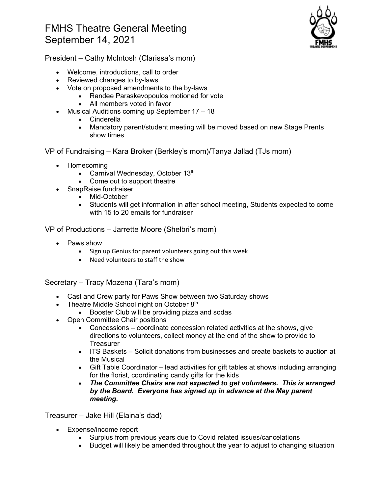## FMHS Theatre General Meeting September 14, 2021



President – Cathy McIntosh (Clarissa's mom)

- Welcome, introductions, call to order
- Reviewed changes to by-laws
- Vote on proposed amendments to the by-laws
	- Randee Paraskevopoulos motioned for vote
	- All members voted in favor
- Musical Auditions coming up September 17 18
	- Cinderella
	- Mandatory parent/student meeting will be moved based on new Stage Prents show times

VP of Fundraising – Kara Broker (Berkley's mom)/Tanya Jallad (TJs mom)

- Homecoming
	- Carnival Wednesday, October 13<sup>th</sup>
	- Come out to support theatre
- SnapRaise fundraiser
	- Mid-October
	- Students will get information in after school meeting, Students expected to come with 15 to 20 emails for fundraiser

VP of Productions – Jarrette Moore (Shelbri's mom)

- Paws show
	- Sign up Genius for parent volunteers going out this week
	- Need volunteers to staff the show

Secretary – Tracy Mozena (Tara's mom)

- Cast and Crew party for Paws Show between two Saturday shows
- Theatre Middle School night on October 8th
	- Booster Club will be providing pizza and sodas
- Open Committee Chair positions
	- Concessions coordinate concession related activities at the shows, give directions to volunteers, collect money at the end of the show to provide to **Treasurer**
	- ITS Baskets Solicit donations from businesses and create baskets to auction at the Musical
	- Gift Table Coordinator lead activities for gift tables at shows including arranging for the florist, coordinating candy gifts for the kids
	- *The Committee Chairs are not expected to get volunteers. This is arranged by the Board. Everyone has signed up in advance at the May parent meeting.*

Treasurer – Jake Hill (Elaina's dad)

- Expense/income report
	- Surplus from previous years due to Covid related issues/cancelations
	- Budget will likely be amended throughout the year to adjust to changing situation